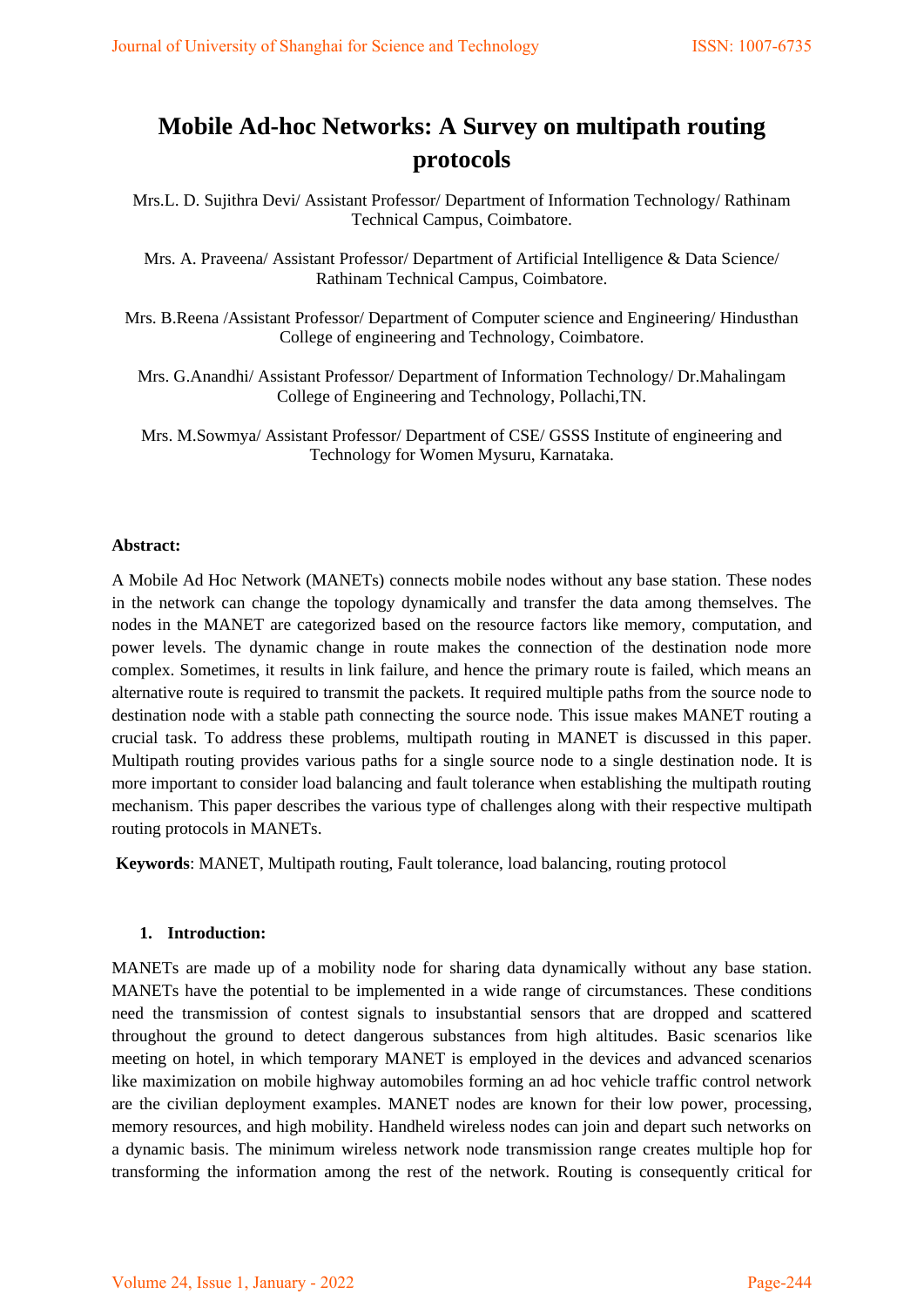# **Mobile Ad-hoc Networks: A Survey on multipath routing protocols**

Mrs.L. D. Sujithra Devi/ Assistant Professor/ Department of Information Technology/ Rathinam Technical Campus, Coimbatore.

Mrs. A. Praveena/ Assistant Professor/ Department of Artificial Intelligence & Data Science/ Rathinam Technical Campus, Coimbatore.

Mrs. B.Reena /Assistant Professor/ Department of Computer science and Engineering/ Hindusthan College of engineering and Technology, Coimbatore.

Mrs. G.Anandhi/ Assistant Professor/ Department of Information Technology/ Dr.Mahalingam College of Engineering and Technology, Pollachi,TN.

Mrs. M.Sowmya/ Assistant Professor/ Department of CSE/ GSSS Institute of engineering and Technology for Women Mysuru, Karnataka.

## **Abstract:**

A Mobile Ad Hoc Network (MANETs) connects mobile nodes without any base station. These nodes in the network can change the topology dynamically and transfer the data among themselves. The nodes in the MANET are categorized based on the resource factors like memory, computation, and power levels. The dynamic change in route makes the connection of the destination node more complex. Sometimes, it results in link failure, and hence the primary route is failed, which means an alternative route is required to transmit the packets. It required multiple paths from the source node to destination node with a stable path connecting the source node. This issue makes MANET routing a crucial task. To address these problems, multipath routing in MANET is discussed in this paper. Multipath routing provides various paths for a single source node to a single destination node. It is more important to consider load balancing and fault tolerance when establishing the multipath routing mechanism. This paper describes the various type of challenges along with their respective multipath routing protocols in MANETs.

**Keywords**: MANET, Multipath routing, Fault tolerance, load balancing, routing protocol

## **1. Introduction:**

MANETs are made up of a mobility node for sharing data dynamically without any base station. MANETs have the potential to be implemented in a wide range of circumstances. These conditions need the transmission of contest signals to insubstantial sensors that are dropped and scattered throughout the ground to detect dangerous substances from high altitudes. Basic scenarios like meeting on hotel, in which temporary MANET is employed in the devices and advanced scenarios like maximization on mobile highway automobiles forming an ad hoc vehicle traffic control network are the civilian deployment examples. MANET nodes are known for their low power, processing, memory resources, and high mobility. Handheld wireless nodes can join and depart such networks on a dynamic basis. The minimum wireless network node transmission range creates multiple hop for transforming the information among the rest of the network. Routing is consequently critical for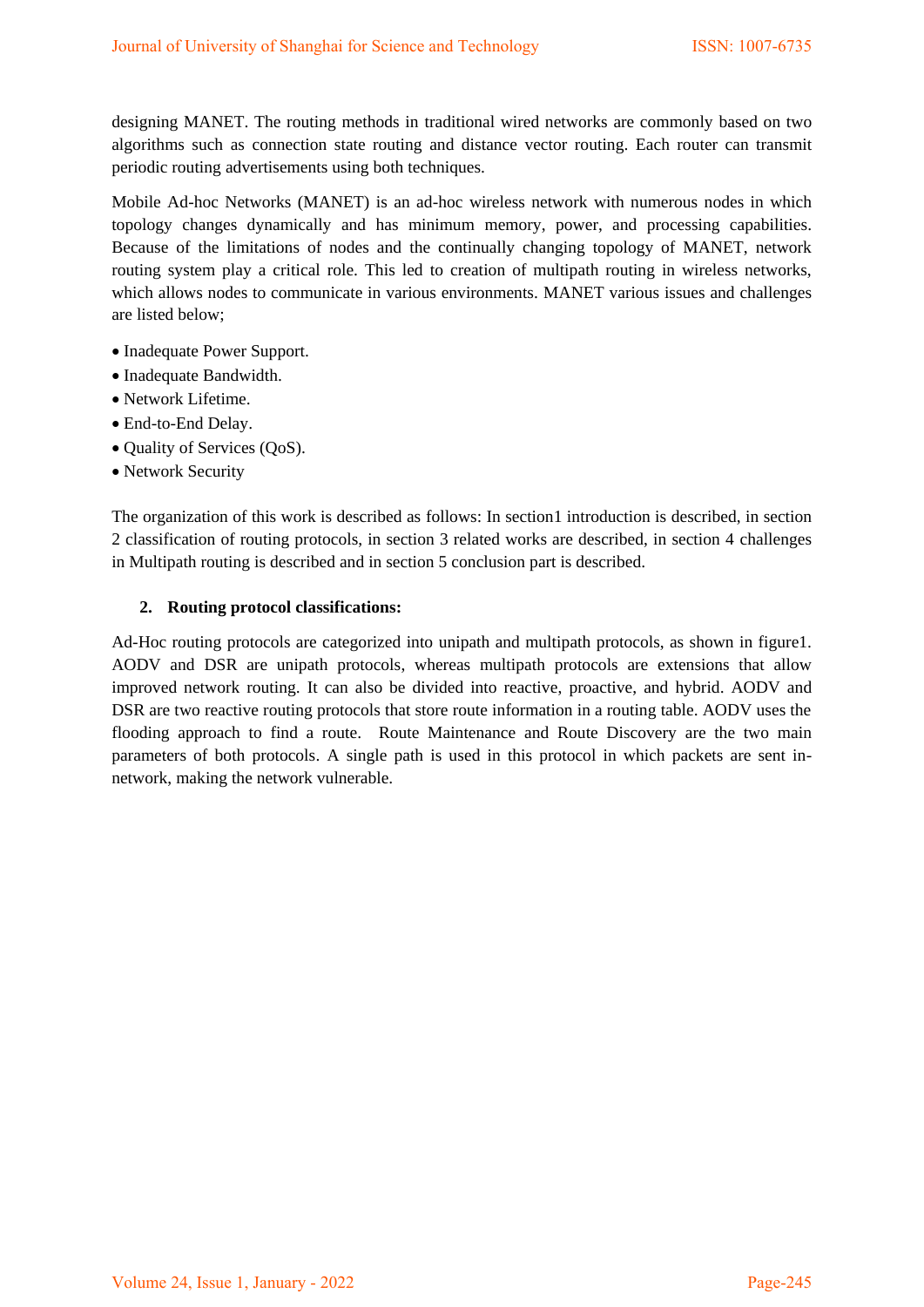designing MANET. The routing methods in traditional wired networks are commonly based on two algorithms such as connection state routing and distance vector routing. Each router can transmit periodic routing advertisements using both techniques.

Mobile Ad-hoc Networks (MANET) is an ad-hoc wireless network with numerous nodes in which topology changes dynamically and has minimum memory, power, and processing capabilities. Because of the limitations of nodes and the continually changing topology of MANET, network routing system play a critical role. This led to creation of multipath routing in wireless networks, which allows nodes to communicate in various environments. MANET various issues and challenges are listed below;

- Inadequate Power Support.
- Inadequate Bandwidth.
- Network Lifetime.
- End-to-End Delay.
- Quality of Services (QoS).
- Network Security

The organization of this work is described as follows: In section1 introduction is described, in section 2 classification of routing protocols, in section 3 related works are described, in section 4 challenges in Multipath routing is described and in section 5 conclusion part is described.

# **2. Routing protocol classifications:**

Ad-Hoc routing protocols are categorized into unipath and multipath protocols, as shown in figure1. AODV and DSR are unipath protocols, whereas multipath protocols are extensions that allow improved network routing. It can also be divided into reactive, proactive, and hybrid. AODV and DSR are two reactive routing protocols that store route information in a routing table. AODV uses the flooding approach to find a route. Route Maintenance and Route Discovery are the two main parameters of both protocols. A single path is used in this protocol in which packets are sent innetwork, making the network vulnerable.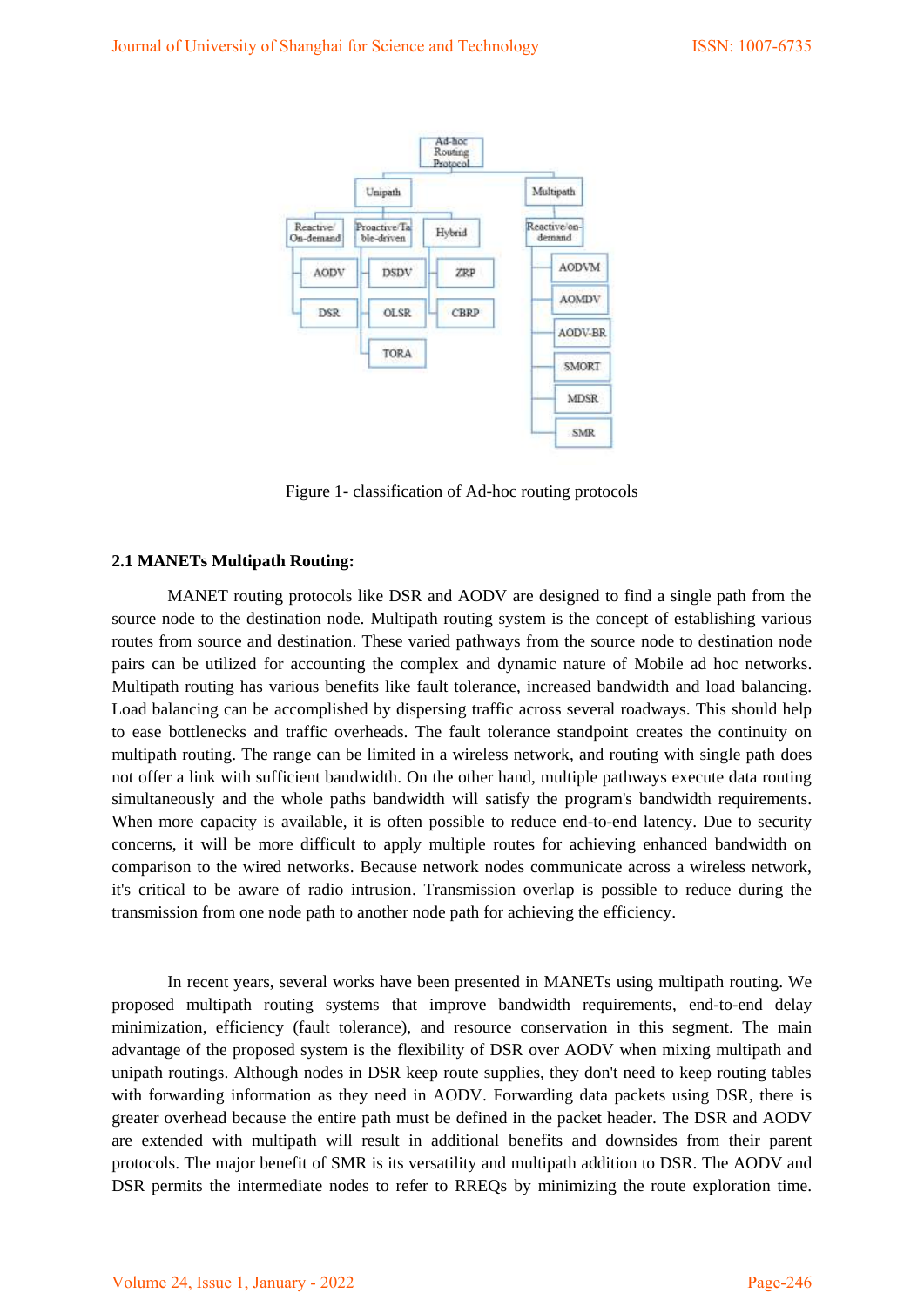

Figure 1- classification of Ad-hoc routing protocols

#### **2.1 MANETs Multipath Routing:**

MANET routing protocols like DSR and AODV are designed to find a single path from the source node to the destination node. Multipath routing system is the concept of establishing various routes from source and destination. These varied pathways from the source node to destination node pairs can be utilized for accounting the complex and dynamic nature of Mobile ad hoc networks. Multipath routing has various benefits like fault tolerance, increased bandwidth and load balancing. Load balancing can be accomplished by dispersing traffic across several roadways. This should help to ease bottlenecks and traffic overheads. The fault tolerance standpoint creates the continuity on multipath routing. The range can be limited in a wireless network, and routing with single path does not offer a link with sufficient bandwidth. On the other hand, multiple pathways execute data routing simultaneously and the whole paths bandwidth will satisfy the program's bandwidth requirements. When more capacity is available, it is often possible to reduce end-to-end latency. Due to security concerns, it will be more difficult to apply multiple routes for achieving enhanced bandwidth on comparison to the wired networks. Because network nodes communicate across a wireless network, it's critical to be aware of radio intrusion. Transmission overlap is possible to reduce during the transmission from one node path to another node path for achieving the efficiency.

In recent years, several works have been presented in MANETs using multipath routing. We proposed multipath routing systems that improve bandwidth requirements, end-to-end delay minimization, efficiency (fault tolerance), and resource conservation in this segment. The main advantage of the proposed system is the flexibility of DSR over AODV when mixing multipath and unipath routings. Although nodes in DSR keep route supplies, they don't need to keep routing tables with forwarding information as they need in AODV. Forwarding data packets using DSR, there is greater overhead because the entire path must be defined in the packet header. The DSR and AODV are extended with multipath will result in additional benefits and downsides from their parent protocols. The major benefit of SMR is its versatility and multipath addition to DSR. The AODV and DSR permits the intermediate nodes to refer to RREQs by minimizing the route exploration time.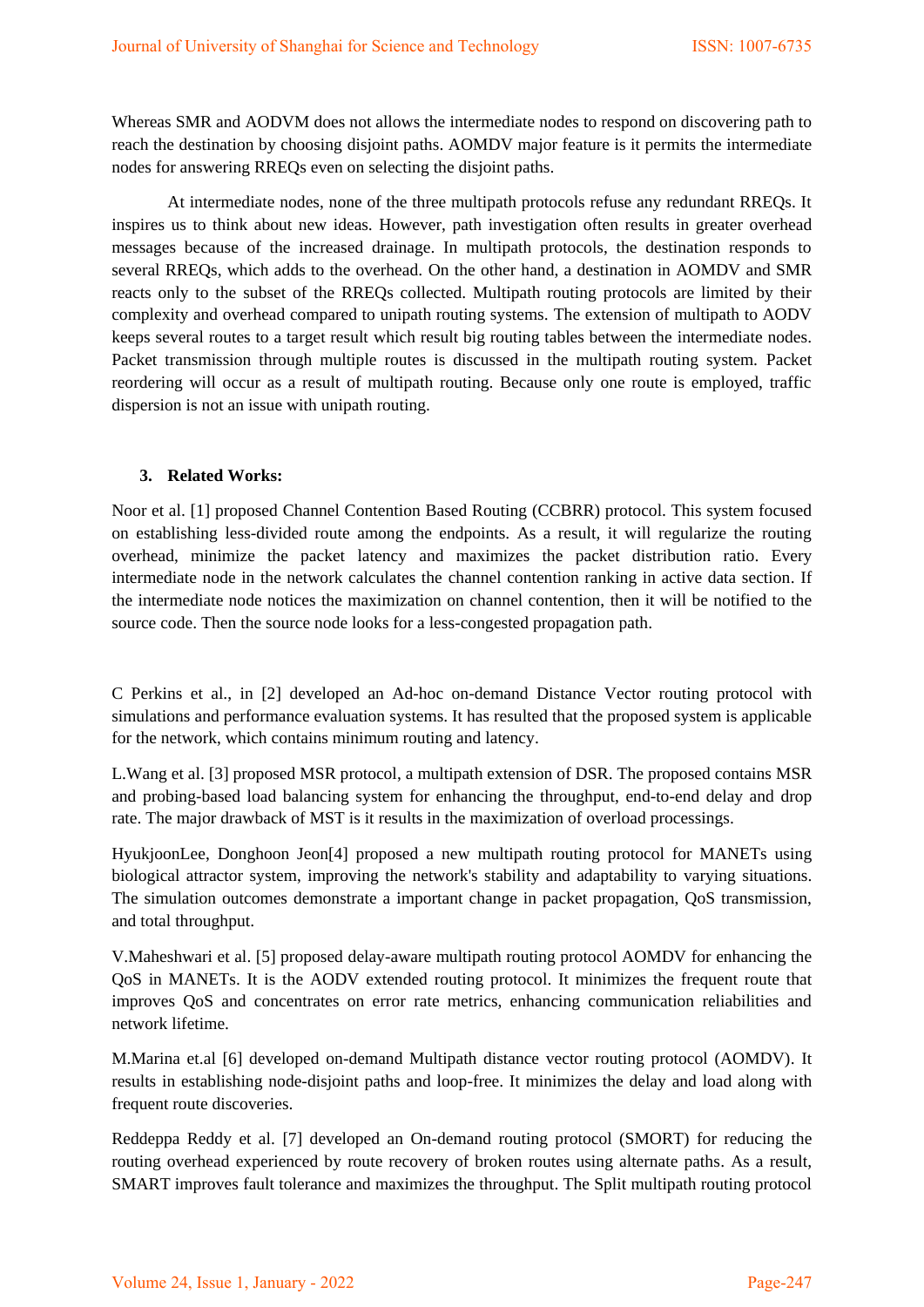Whereas SMR and AODVM does not allows the intermediate nodes to respond on discovering path to reach the destination by choosing disjoint paths. AOMDV major feature is it permits the intermediate nodes for answering RREQs even on selecting the disjoint paths.

At intermediate nodes, none of the three multipath protocols refuse any redundant RREQs. It inspires us to think about new ideas. However, path investigation often results in greater overhead messages because of the increased drainage. In multipath protocols, the destination responds to several RREQs, which adds to the overhead. On the other hand, a destination in AOMDV and SMR reacts only to the subset of the RREQs collected. Multipath routing protocols are limited by their complexity and overhead compared to unipath routing systems. The extension of multipath to AODV keeps several routes to a target result which result big routing tables between the intermediate nodes. Packet transmission through multiple routes is discussed in the multipath routing system. Packet reordering will occur as a result of multipath routing. Because only one route is employed, traffic dispersion is not an issue with unipath routing.

## **3. Related Works:**

Noor et al. [1] proposed Channel Contention Based Routing (CCBRR) protocol. This system focused on establishing less-divided route among the endpoints. As a result, it will regularize the routing overhead, minimize the packet latency and maximizes the packet distribution ratio. Every intermediate node in the network calculates the channel contention ranking in active data section. If the intermediate node notices the maximization on channel contention, then it will be notified to the source code. Then the source node looks for a less-congested propagation path.

C Perkins et al., in [2] developed an Ad-hoc on-demand Distance Vector routing protocol with simulations and performance evaluation systems. It has resulted that the proposed system is applicable for the network, which contains minimum routing and latency.

L.Wang et al. [3] proposed MSR protocol, a multipath extension of DSR. The proposed contains MSR and probing-based load balancing system for enhancing the throughput, end-to-end delay and drop rate. The major drawback of MST is it results in the maximization of overload processings.

HyukjoonLee, Donghoon Jeon[4] proposed a new multipath routing protocol for MANETs using biological attractor system, improving the network's stability and adaptability to varying situations. The simulation outcomes demonstrate a important change in packet propagation, QoS transmission, and total throughput.

V.Maheshwari et al. [5] proposed delay-aware multipath routing protocol AOMDV for enhancing the QoS in MANETs. It is the AODV extended routing protocol. It minimizes the frequent route that improves QoS and concentrates on error rate metrics, enhancing communication reliabilities and network lifetime.

M.Marina et.al [6] developed on-demand Multipath distance vector routing protocol (AOMDV). It results in establishing node-disjoint paths and loop-free. It minimizes the delay and load along with frequent route discoveries.

Reddeppa Reddy et al. [7] developed an On-demand routing protocol (SMORT) for reducing the routing overhead experienced by route recovery of broken routes using alternate paths. As a result, SMART improves fault tolerance and maximizes the throughput. The Split multipath routing protocol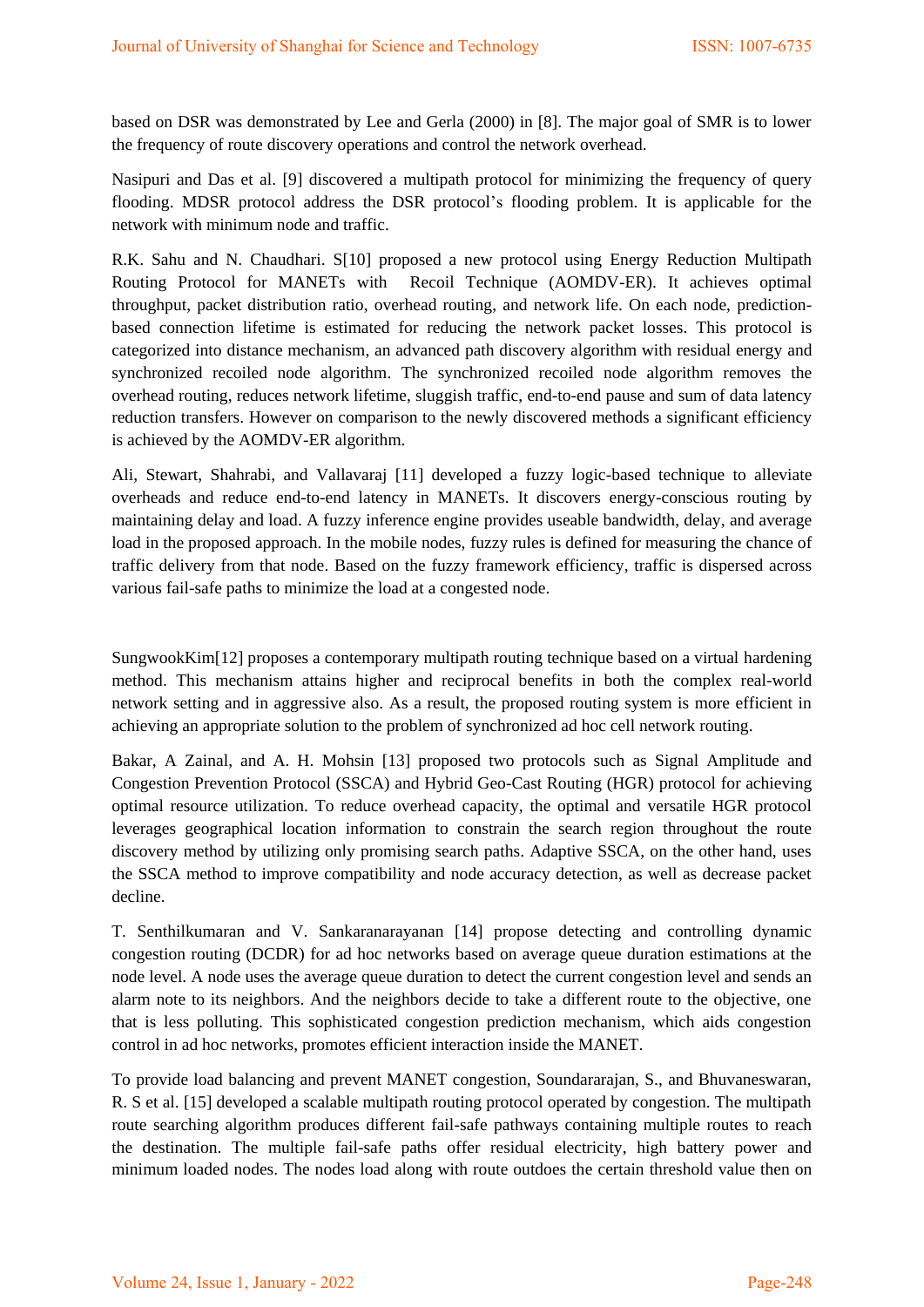based on DSR was demonstrated by Lee and Gerla (2000) in [8]. The major goal of SMR is to lower the frequency of route discovery operations and control the network overhead.

Nasipuri and Das et al. [9] discovered a multipath protocol for minimizing the frequency of query flooding. MDSR protocol address the DSR protocol's flooding problem. It is applicable for the network with minimum node and traffic.

R.K. Sahu and N. Chaudhari. S[10] proposed a new protocol using Energy Reduction Multipath Routing Protocol for MANETs with Recoil Technique (AOMDV-ER). It achieves optimal throughput, packet distribution ratio, overhead routing, and network life. On each node, predictionbased connection lifetime is estimated for reducing the network packet losses. This protocol is categorized into distance mechanism, an advanced path discovery algorithm with residual energy and synchronized recoiled node algorithm. The synchronized recoiled node algorithm removes the overhead routing, reduces network lifetime, sluggish traffic, end-to-end pause and sum of data latency reduction transfers. However on comparison to the newly discovered methods a significant efficiency is achieved by the AOMDV-ER algorithm.

Ali, Stewart, Shahrabi, and Vallavaraj [11] developed a fuzzy logic-based technique to alleviate overheads and reduce end-to-end latency in MANETs. It discovers energy-conscious routing by maintaining delay and load. A fuzzy inference engine provides useable bandwidth, delay, and average load in the proposed approach. In the mobile nodes, fuzzy rules is defined for measuring the chance of traffic delivery from that node. Based on the fuzzy framework efficiency, traffic is dispersed across various fail-safe paths to minimize the load at a congested node.

SungwookKim[12] proposes a contemporary multipath routing technique based on a virtual hardening method. This mechanism attains higher and reciprocal benefits in both the complex real-world network setting and in aggressive also. As a result, the proposed routing system is more efficient in achieving an appropriate solution to the problem of synchronized ad hoc cell network routing.

Bakar, A Zainal, and A. H. Mohsin [13] proposed two protocols such as Signal Amplitude and Congestion Prevention Protocol (SSCA) and Hybrid Geo-Cast Routing (HGR) protocol for achieving optimal resource utilization. To reduce overhead capacity, the optimal and versatile HGR protocol leverages geographical location information to constrain the search region throughout the route discovery method by utilizing only promising search paths. Adaptive SSCA, on the other hand, uses the SSCA method to improve compatibility and node accuracy detection, as well as decrease packet decline.

T. Senthilkumaran and V. Sankaranarayanan [14] propose detecting and controlling dynamic congestion routing (DCDR) for ad hoc networks based on average queue duration estimations at the node level. A node uses the average queue duration to detect the current congestion level and sends an alarm note to its neighbors. And the neighbors decide to take a different route to the objective, one that is less polluting. This sophisticated congestion prediction mechanism, which aids congestion control in ad hoc networks, promotes efficient interaction inside the MANET.

To provide load balancing and prevent MANET congestion, Soundararajan, S., and Bhuvaneswaran, R. S et al. [15] developed a scalable multipath routing protocol operated by congestion. The multipath route searching algorithm produces different fail-safe pathways containing multiple routes to reach the destination. The multiple fail-safe paths offer residual electricity, high battery power and minimum loaded nodes. The nodes load along with route outdoes the certain threshold value then on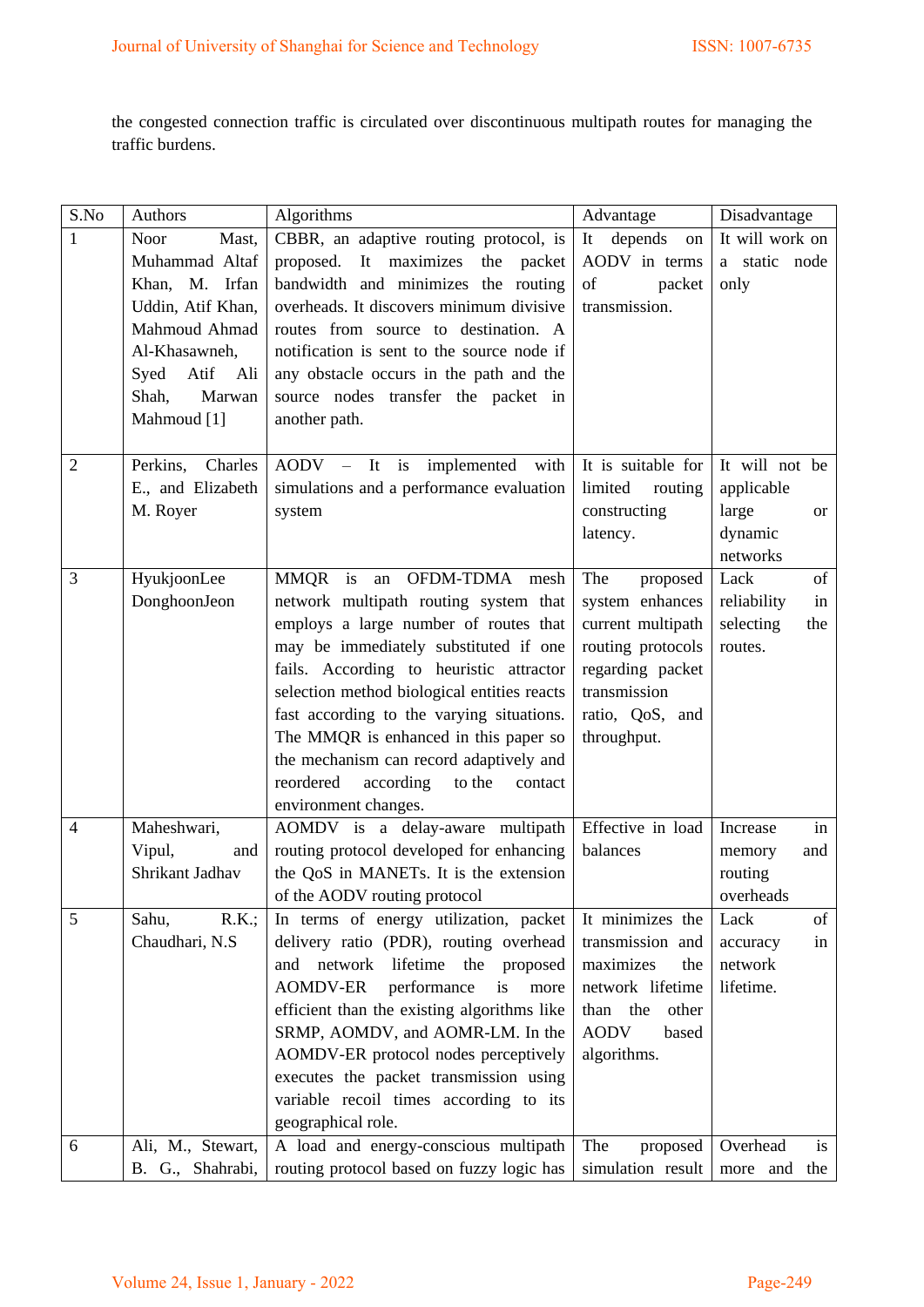the congested connection traffic is circulated over discontinuous multipath routes for managing the traffic burdens.

| S.No           | Authors                          | Algorithms                                                                         | Advantage            | Disadvantage         |
|----------------|----------------------------------|------------------------------------------------------------------------------------|----------------------|----------------------|
| 1              | Noor<br>Mast,                    | CBBR, an adaptive routing protocol, is                                             | depends<br>It<br>on  | It will work on      |
|                | Muhammad Altaf                   | proposed. It maximizes<br>the<br>packet                                            | AODV in terms        | a static node        |
|                | Khan, M. Irfan                   | bandwidth and minimizes the routing                                                | of<br>packet         | only                 |
|                | Uddin, Atif Khan,                | overheads. It discovers minimum divisive                                           | transmission.        |                      |
|                | Mahmoud Ahmad                    | routes from source to destination. A                                               |                      |                      |
|                | Al-Khasawneh,                    | notification is sent to the source node if                                         |                      |                      |
|                | Syed<br>Atif<br>Ali              | any obstacle occurs in the path and the                                            |                      |                      |
|                | Marwan<br>Shah,                  | source nodes transfer the packet in                                                |                      |                      |
|                | Mahmoud [1]                      | another path.                                                                      |                      |                      |
| $\overline{2}$ | Perkins,<br>Charles              | AODV – It is implemented with                                                      | It is suitable for   | It will not be       |
|                | E., and Elizabeth                | simulations and a performance evaluation                                           | limited<br>routing   | applicable           |
|                | M. Royer                         | system                                                                             | constructing         | large<br><b>or</b>   |
|                |                                  |                                                                                    | latency.             | dynamic              |
|                |                                  |                                                                                    |                      | networks             |
| 3              | HyukjoonLee                      | an OFDM-TDMA<br>MMQR is<br>mesh                                                    | The<br>proposed      | Lack<br>of           |
|                | DonghoonJeon                     | network multipath routing system that                                              | system enhances      | reliability<br>in    |
|                |                                  | employs a large number of routes that                                              | current multipath    | selecting<br>the     |
|                |                                  | may be immediately substituted if one                                              | routing protocols    | routes.              |
|                |                                  | fails. According to heuristic attractor                                            | regarding packet     |                      |
|                |                                  | selection method biological entities reacts                                        | transmission         |                      |
|                |                                  | fast according to the varying situations.                                          | ratio, QoS, and      |                      |
|                |                                  | The MMQR is enhanced in this paper so                                              | throughput.          |                      |
|                |                                  | the mechanism can record adaptively and                                            |                      |                      |
|                |                                  | reordered<br>according<br>to the<br>contact                                        |                      |                      |
|                |                                  | environment changes.                                                               |                      |                      |
| $\overline{4}$ | Maheshwari,                      | AOMDV is a delay-aware multipath                                                   | Effective in load    | Increase<br>in       |
|                | Vipul,<br>and<br>Shrikant Jadhav | routing protocol developed for enhancing<br>the QoS in MANETs. It is the extension | balances             | and<br>memory        |
|                |                                  | of the AODV routing protocol                                                       |                      | routing<br>overheads |
| 5              | R.K.;<br>Sahu,                   | In terms of energy utilization, packet                                             | It minimizes the     | of<br>Lack           |
|                | Chaudhari, N.S.                  | delivery ratio (PDR), routing overhead                                             | transmission and     | in<br>accuracy       |
|                |                                  | lifetime<br>and network<br>the<br>proposed                                         | maximizes<br>the     | network              |
|                |                                  | performance<br><b>AOMDV-ER</b><br>is<br>more                                       | network lifetime     | lifetime.            |
|                |                                  | efficient than the existing algorithms like                                        | than the<br>other    |                      |
|                |                                  | SRMP, AOMDV, and AOMR-LM. In the                                                   | <b>AODV</b><br>based |                      |
|                |                                  | AOMDV-ER protocol nodes perceptively                                               | algorithms.          |                      |
|                |                                  | executes the packet transmission using                                             |                      |                      |
|                |                                  | variable recoil times according to its                                             |                      |                      |
|                |                                  | geographical role.                                                                 |                      |                      |
| 6              | Ali, M., Stewart,                | A load and energy-conscious multipath                                              | The<br>proposed      | Overhead<br>is       |
|                | B. G., Shahrabi,                 | routing protocol based on fuzzy logic has                                          | simulation result    | more and<br>the      |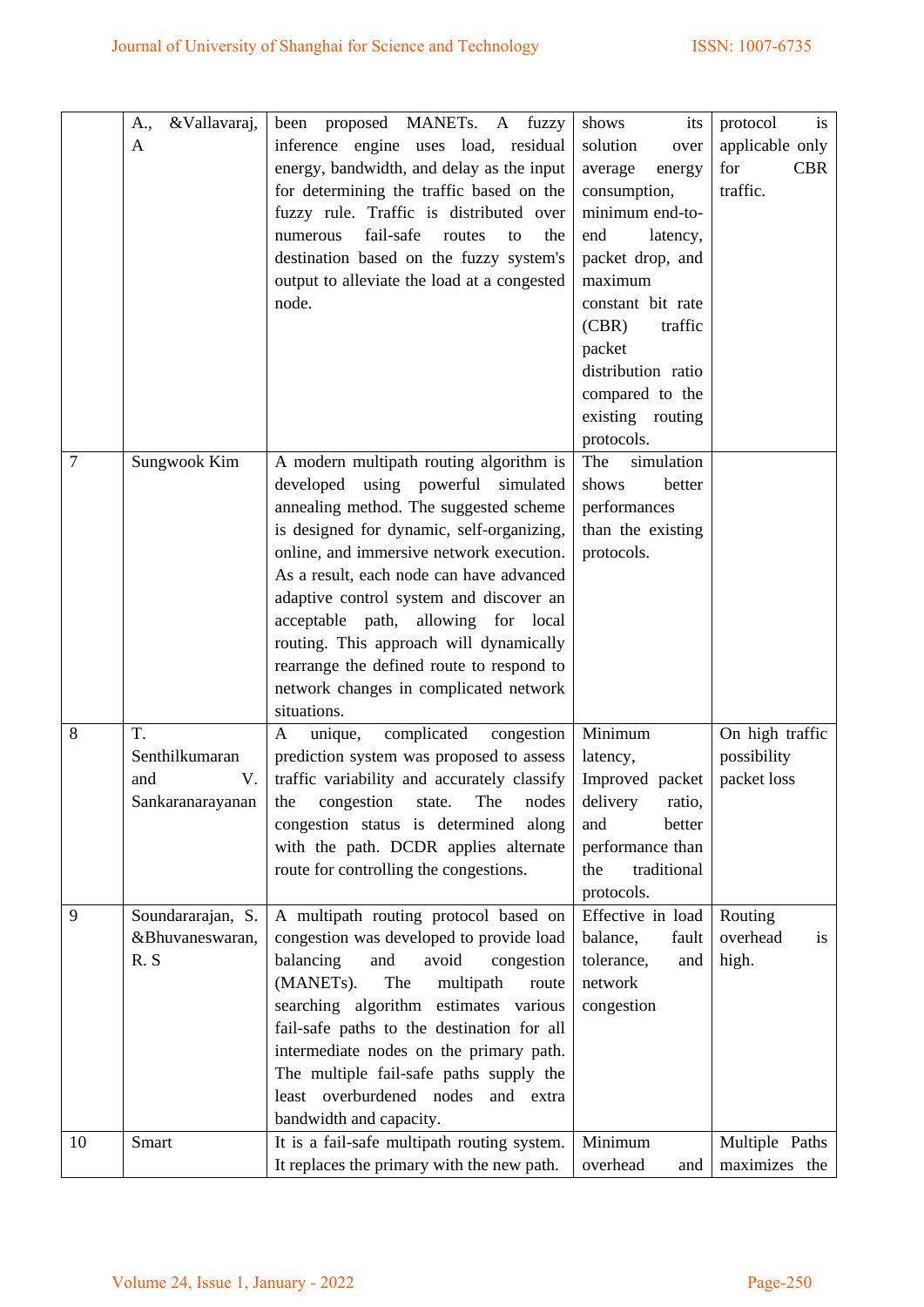|    | &Vallavaraj,<br>A., | been proposed MANETs. A fuzzy                   | shows<br>its       | protocol<br>is    |
|----|---------------------|-------------------------------------------------|--------------------|-------------------|
|    | A                   | inference engine uses load, residual            | solution<br>over   | applicable only   |
|    |                     | energy, bandwidth, and delay as the input       | average<br>energy  | <b>CBR</b><br>for |
|    |                     | for determining the traffic based on the        | consumption,       | traffic.          |
|    |                     | fuzzy rule. Traffic is distributed over         | minimum end-to-    |                   |
|    |                     | fail-safe<br>numerous<br>routes<br>to<br>the    | end<br>latency,    |                   |
|    |                     | destination based on the fuzzy system's         | packet drop, and   |                   |
|    |                     | output to alleviate the load at a congested     | maximum            |                   |
|    |                     | node.                                           | constant bit rate  |                   |
|    |                     |                                                 | (CBR)<br>traffic   |                   |
|    |                     |                                                 | packet             |                   |
|    |                     |                                                 | distribution ratio |                   |
|    |                     |                                                 | compared to the    |                   |
|    |                     |                                                 | existing routing   |                   |
|    |                     |                                                 | protocols.         |                   |
| 7  | Sungwook Kim        | A modern multipath routing algorithm is         | simulation<br>The  |                   |
|    |                     | developed using powerful simulated              | shows<br>better    |                   |
|    |                     | annealing method. The suggested scheme          | performances       |                   |
|    |                     | is designed for dynamic, self-organizing,       | than the existing  |                   |
|    |                     | online, and immersive network execution.        | protocols.         |                   |
|    |                     | As a result, each node can have advanced        |                    |                   |
|    |                     | adaptive control system and discover an         |                    |                   |
|    |                     | acceptable path, allowing for local             |                    |                   |
|    |                     | routing. This approach will dynamically         |                    |                   |
|    |                     | rearrange the defined route to respond to       |                    |                   |
|    |                     | network changes in complicated network          |                    |                   |
|    |                     | situations.                                     |                    |                   |
| 8  | T.                  | complicated<br>congestion<br>unique,<br>A       | Minimum            | On high traffic   |
|    | Senthilkumaran      | prediction system was proposed to assess        | latency,           | possibility       |
|    | $V_{\cdot}$<br>and  | traffic variability and accurately classify     | Improved packet    | packet loss       |
|    | Sankaranarayanan    | the congestion state. The nodes delivery ratio, |                    |                   |
|    |                     | congestion status is determined along           | and<br>better      |                   |
|    |                     | with the path. DCDR applies alternate           | performance than   |                   |
|    |                     | route for controlling the congestions.          | traditional<br>the |                   |
|    |                     |                                                 | protocols.         |                   |
| 9  | Soundararajan, S.   | A multipath routing protocol based on           | Effective in load  | Routing           |
|    | &Bhuvaneswaran,     | congestion was developed to provide load        | balance,<br>fault  | overhead<br>is    |
|    | R.S                 | balancing<br>and<br>avoid<br>congestion         | tolerance,<br>and  | high.             |
|    |                     | (MANETs).<br>The<br>multipath<br>route          | network            |                   |
|    |                     | searching algorithm estimates various           | congestion         |                   |
|    |                     | fail-safe paths to the destination for all      |                    |                   |
|    |                     | intermediate nodes on the primary path.         |                    |                   |
|    |                     | The multiple fail-safe paths supply the         |                    |                   |
|    |                     | least overburdened nodes and extra              |                    |                   |
|    |                     | bandwidth and capacity.                         |                    |                   |
| 10 | Smart               | It is a fail-safe multipath routing system.     | Minimum            | Multiple Paths    |
|    |                     | It replaces the primary with the new path.      | overhead<br>and    | maximizes the     |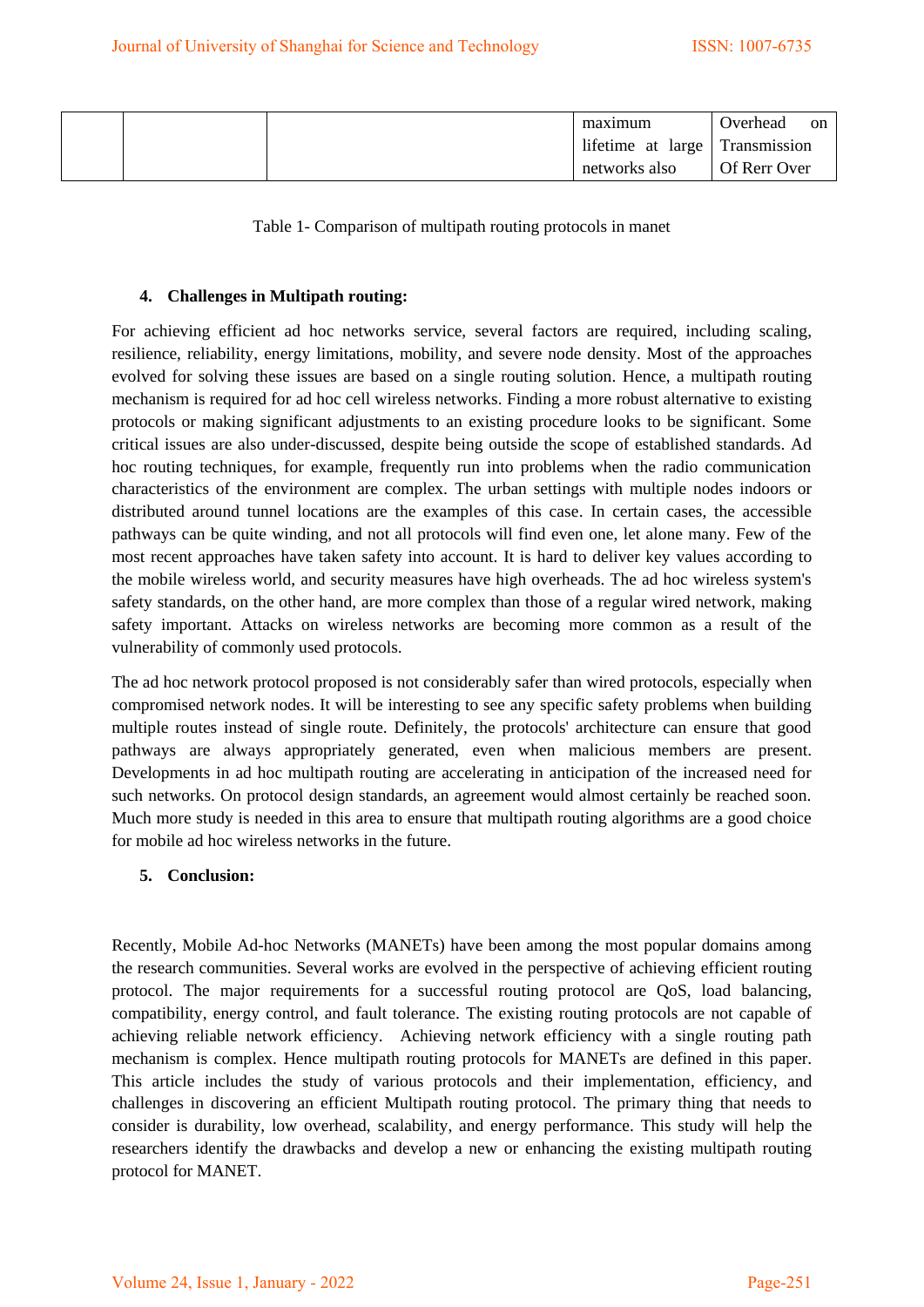|  | maximum       | Overhead                       | on |
|--|---------------|--------------------------------|----|
|  |               | lifetime at large Transmission |    |
|  | networks also | Of Rerr Over                   |    |

Table 1- Comparison of multipath routing protocols in manet

# **4. Challenges in Multipath routing:**

For achieving efficient ad hoc networks service, several factors are required, including scaling, resilience, reliability, energy limitations, mobility, and severe node density. Most of the approaches evolved for solving these issues are based on a single routing solution. Hence, a multipath routing mechanism is required for ad hoc cell wireless networks. Finding a more robust alternative to existing protocols or making significant adjustments to an existing procedure looks to be significant. Some critical issues are also under-discussed, despite being outside the scope of established standards. Ad hoc routing techniques, for example, frequently run into problems when the radio communication characteristics of the environment are complex. The urban settings with multiple nodes indoors or distributed around tunnel locations are the examples of this case. In certain cases, the accessible pathways can be quite winding, and not all protocols will find even one, let alone many. Few of the most recent approaches have taken safety into account. It is hard to deliver key values according to the mobile wireless world, and security measures have high overheads. The ad hoc wireless system's safety standards, on the other hand, are more complex than those of a regular wired network, making safety important. Attacks on wireless networks are becoming more common as a result of the vulnerability of commonly used protocols.

The ad hoc network protocol proposed is not considerably safer than wired protocols, especially when compromised network nodes. It will be interesting to see any specific safety problems when building multiple routes instead of single route. Definitely, the protocols' architecture can ensure that good pathways are always appropriately generated, even when malicious members are present. Developments in ad hoc multipath routing are accelerating in anticipation of the increased need for such networks. On protocol design standards, an agreement would almost certainly be reached soon. Much more study is needed in this area to ensure that multipath routing algorithms are a good choice for mobile ad hoc wireless networks in the future.

## **5. Conclusion:**

Recently, Mobile Ad-hoc Networks (MANETs) have been among the most popular domains among the research communities. Several works are evolved in the perspective of achieving efficient routing protocol. The major requirements for a successful routing protocol are QoS, load balancing, compatibility, energy control, and fault tolerance. The existing routing protocols are not capable of achieving reliable network efficiency. Achieving network efficiency with a single routing path mechanism is complex. Hence multipath routing protocols for MANETs are defined in this paper. This article includes the study of various protocols and their implementation, efficiency, and challenges in discovering an efficient Multipath routing protocol. The primary thing that needs to consider is durability, low overhead, scalability, and energy performance. This study will help the researchers identify the drawbacks and develop a new or enhancing the existing multipath routing protocol for MANET.